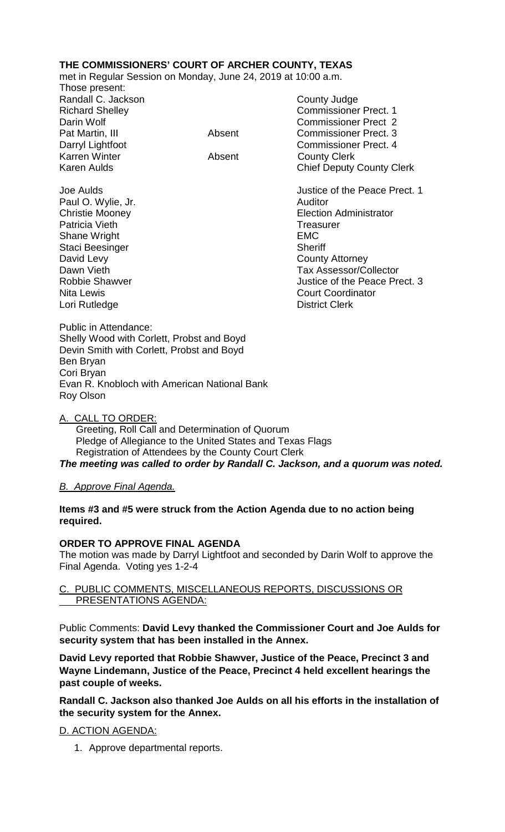# **THE COMMISSIONERS' COURT OF ARCHER COUNTY, TEXAS**

met in Regular Session on Monday, June 24, 2019 at 10:00 a.m.

Those present: Randall C. Jackson County Judge Karren Winter **Absent** County Clerk

Richard Shelley **Commissioner Prect. 1** Darin Wolf Commissioner Prect 2 Pat Martin, III and Absent Commissioner Prect. 3 Darryl Lightfoot **Commissioner Prect. 4** Karen Aulds **Chief Deputy County Clerk** 

Paul O. Wylie, Jr. **Auditor** Auditor Patricia Vieth **Treasurer** Treasurer Shane Wright **EMC** Staci Beesinger Sheriff David Levy<br>
Dawn Vieth County Attorney<br>
Dawn Vieth County Attorney Lori Rutledge

Joe Aulds Justice of the Peace Prect. 1 Christie Mooney Election Administrator Dawn Vieth **Dawn Vieth** Dawn Vieth **Tax Assessor/Collector**<br>
Robbie Shawver **Tax Assessor/Collector** Justice of the Peace Prect. 3 Nita Lewis<br>
Lori Rutledge<br>
Lori Rutledge<br>
Lori Rutledge<br>
Court Clerk<br>
Court Clerk

Public in Attendance: Shelly Wood with Corlett, Probst and Boyd Devin Smith with Corlett, Probst and Boyd Ben Bryan Cori Bryan Evan R. Knobloch with American National Bank Roy Olson

A. CALL TO ORDER:

 Greeting, Roll Call and Determination of Quorum Pledge of Allegiance to the United States and Texas Flags Registration of Attendees by the County Court Clerk *The meeting was called to order by Randall C. Jackson, and a quorum was noted.*

# *B. Approve Final Agenda.*

## **Items #3 and #5 were struck from the Action Agenda due to no action being required.**

# **ORDER TO APPROVE FINAL AGENDA**

The motion was made by Darryl Lightfoot and seconded by Darin Wolf to approve the Final Agenda. Voting yes 1-2-4

# C. PUBLIC COMMENTS, MISCELLANEOUS REPORTS, DISCUSSIONS OR PRESENTATIONS AGENDA:

Public Comments: **David Levy thanked the Commissioner Court and Joe Aulds for security system that has been installed in the Annex.**

**David Levy reported that Robbie Shawver, Justice of the Peace, Precinct 3 and Wayne Lindemann, Justice of the Peace, Precinct 4 held excellent hearings the past couple of weeks.**

**Randall C. Jackson also thanked Joe Aulds on all his efforts in the installation of the security system for the Annex.** 

# D. ACTION AGENDA:

1. Approve departmental reports.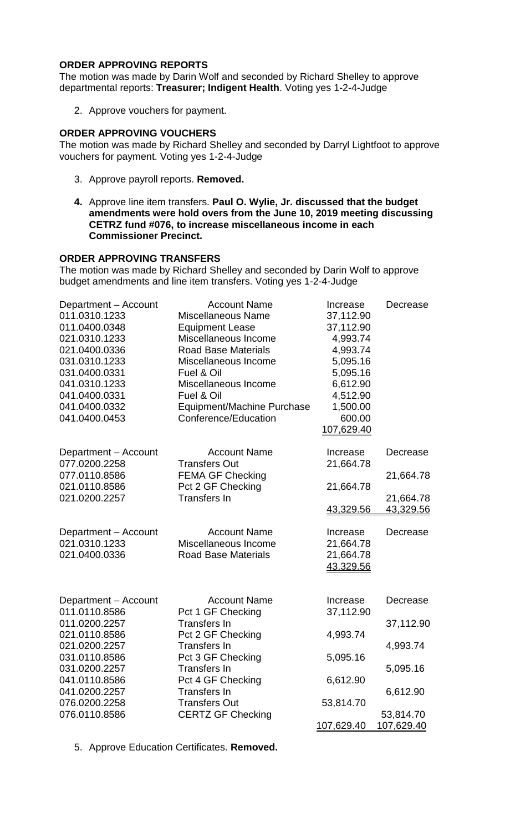## **ORDER APPROVING REPORTS**

The motion was made by Darin Wolf and seconded by Richard Shelley to approve departmental reports: **Treasurer; Indigent Health**. Voting yes 1-2-4-Judge

2. Approve vouchers for payment.

## **ORDER APPROVING VOUCHERS**

The motion was made by Richard Shelley and seconded by Darryl Lightfoot to approve vouchers for payment. Voting yes 1-2-4-Judge

- 3. Approve payroll reports. **Removed.**
- **4.** Approve line item transfers. **Paul O. Wylie, Jr. discussed that the budget amendments were hold overs from the June 10, 2019 meeting discussing CETRZ fund #076, to increase miscellaneous income in each Commissioner Precinct.**

## **ORDER APPROVING TRANSFERS**

The motion was made by Richard Shelley and seconded by Darin Wolf to approve budget amendments and line item transfers. Voting yes 1-2-4-Judge

| Department - Account<br>011.0310.1233<br>011.0400.0348<br>021.0310.1233<br>021.0400.0336<br>031.0310.1233<br>031.0400.0331<br>041.0310.1233<br>041.0400.0331<br>041.0400.0332<br>041.0400.0453 | <b>Account Name</b><br><b>Miscellaneous Name</b><br><b>Equipment Lease</b><br>Miscellaneous Income<br><b>Road Base Materials</b><br>Miscellaneous Income<br>Fuel & Oil<br>Miscellaneous Income<br>Fuel & Oil<br>Equipment/Machine Purchase<br>Conference/Education | Increase<br>37,112.90<br>37,112.90<br>4,993.74<br>4,993.74<br>5,095.16<br>5,095.16<br>6,612.90<br>4,512.90<br>1,500.00<br>600.00<br><u>107,629.40</u> | Decrease                       |
|------------------------------------------------------------------------------------------------------------------------------------------------------------------------------------------------|--------------------------------------------------------------------------------------------------------------------------------------------------------------------------------------------------------------------------------------------------------------------|-------------------------------------------------------------------------------------------------------------------------------------------------------|--------------------------------|
| Department - Account<br>077.0200.2258                                                                                                                                                          | <b>Account Name</b><br><b>Transfers Out</b>                                                                                                                                                                                                                        | Increase<br>21,664.78                                                                                                                                 | Decrease                       |
| 077.0110.8586<br>021.0110.8586                                                                                                                                                                 | <b>FEMA GF Checking</b><br>Pct 2 GF Checking                                                                                                                                                                                                                       | 21,664.78                                                                                                                                             | 21,664.78                      |
| 021.0200.2257                                                                                                                                                                                  | <b>Transfers In</b>                                                                                                                                                                                                                                                | 43,329.56                                                                                                                                             | 21,664.78<br>43,329.56         |
| Department - Account<br>021.0310.1233<br>021.0400.0336                                                                                                                                         | <b>Account Name</b><br>Miscellaneous Income<br><b>Road Base Materials</b>                                                                                                                                                                                          | Increase<br>21,664.78<br>21,664.78<br>43,329.56                                                                                                       | Decrease                       |
| Department - Account<br>011.0110.8586                                                                                                                                                          | <b>Account Name</b><br>Pct 1 GF Checking                                                                                                                                                                                                                           | Increase<br>37,112.90                                                                                                                                 | Decrease                       |
| 011.0200.2257<br>021.0110.8586                                                                                                                                                                 | <b>Transfers In</b><br>Pct 2 GF Checking                                                                                                                                                                                                                           | 4,993.74                                                                                                                                              | 37,112.90                      |
| 021.0200.2257<br>031.0110.8586                                                                                                                                                                 | <b>Transfers In</b><br>Pct 3 GF Checking                                                                                                                                                                                                                           | 5,095.16                                                                                                                                              | 4,993.74                       |
| 031.0200.2257<br>041.0110.8586                                                                                                                                                                 | Transfers In<br>Pct 4 GF Checking                                                                                                                                                                                                                                  | 6,612.90                                                                                                                                              | 5,095.16                       |
| 041.0200.2257<br>076.0200.2258                                                                                                                                                                 | <b>Transfers In</b><br><b>Transfers Out</b>                                                                                                                                                                                                                        | 53,814.70                                                                                                                                             | 6,612.90                       |
| 076.0110.8586                                                                                                                                                                                  | <b>CERTZ GF Checking</b>                                                                                                                                                                                                                                           | <u>107,629.40</u>                                                                                                                                     | 53,814.70<br><u>107,629.40</u> |

5. Approve Education Certificates. **Removed.**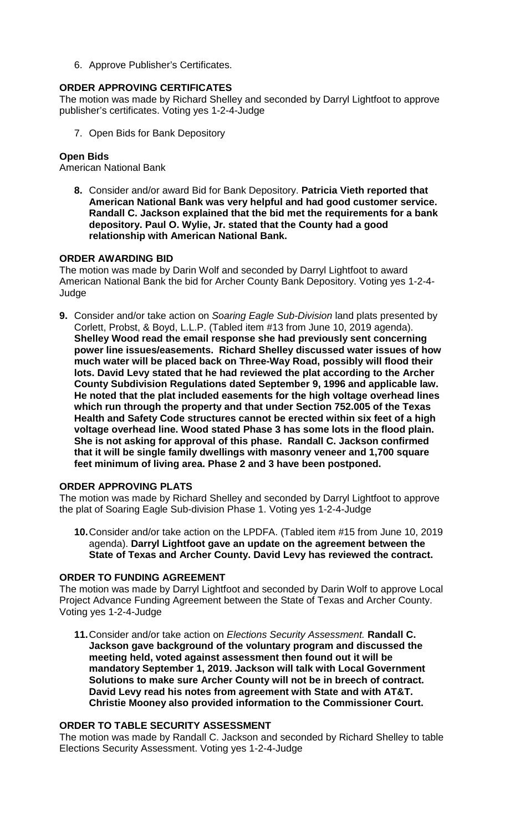6. Approve Publisher's Certificates.

# **ORDER APPROVING CERTIFICATES**

The motion was made by Richard Shelley and seconded by Darryl Lightfoot to approve publisher's certificates. Voting yes 1-2-4-Judge

7. Open Bids for Bank Depository

## **Open Bids**

American National Bank

**8.** Consider and/or award Bid for Bank Depository. **Patricia Vieth reported that American National Bank was very helpful and had good customer service. Randall C. Jackson explained that the bid met the requirements for a bank depository. Paul O. Wylie, Jr. stated that the County had a good relationship with American National Bank.**

## **ORDER AWARDING BID**

The motion was made by Darin Wolf and seconded by Darryl Lightfoot to award American National Bank the bid for Archer County Bank Depository. Voting yes 1-2-4- Judge

**9.** Consider and/or take action on *Soaring Eagle Sub-Division* land plats presented by Corlett, Probst, & Boyd, L.L.P. (Tabled item #13 from June 10, 2019 agenda). **Shelley Wood read the email response she had previously sent concerning power line issues/easements. Richard Shelley discussed water issues of how much water will be placed back on Three-Way Road, possibly will flood their lots. David Levy stated that he had reviewed the plat according to the Archer County Subdivision Regulations dated September 9, 1996 and applicable law. He noted that the plat included easements for the high voltage overhead lines which run through the property and that under Section 752.005 of the Texas Health and Safety Code structures cannot be erected within six feet of a high voltage overhead line. Wood stated Phase 3 has some lots in the flood plain. She is not asking for approval of this phase. Randall C. Jackson confirmed that it will be single family dwellings with masonry veneer and 1,700 square feet minimum of living area. Phase 2 and 3 have been postponed.**

## **ORDER APPROVING PLATS**

The motion was made by Richard Shelley and seconded by Darryl Lightfoot to approve the plat of Soaring Eagle Sub-division Phase 1. Voting yes 1-2-4-Judge

**10.**Consider and/or take action on the LPDFA. (Tabled item #15 from June 10, 2019 agenda). **Darryl Lightfoot gave an update on the agreement between the State of Texas and Archer County. David Levy has reviewed the contract.**

### **ORDER TO FUNDING AGREEMENT**

The motion was made by Darryl Lightfoot and seconded by Darin Wolf to approve Local Project Advance Funding Agreement between the State of Texas and Archer County. Voting yes 1-2-4-Judge

**11.**Consider and/or take action on *Elections Security Assessment.* **Randall C. Jackson gave background of the voluntary program and discussed the meeting held, voted against assessment then found out it will be mandatory September 1, 2019. Jackson will talk with Local Government Solutions to make sure Archer County will not be in breech of contract. David Levy read his notes from agreement with State and with AT&T. Christie Mooney also provided information to the Commissioner Court.**

### **ORDER TO TABLE SECURITY ASSESSMENT**

The motion was made by Randall C. Jackson and seconded by Richard Shelley to table Elections Security Assessment. Voting yes 1-2-4-Judge